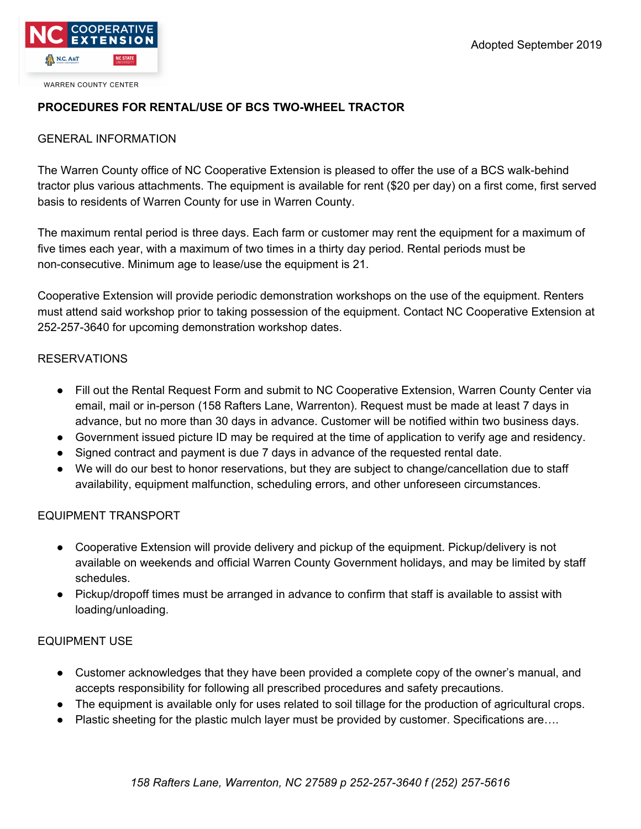

**WARREN COUNTY CENTER** 

## **PROCEDURES FOR RENTAL/USE OF BCS TWO-WHEEL TRACTOR**

### GENERAL INFORMATION

The Warren County office of NC Cooperative Extension is pleased to offer the use of a BCS walk-behind tractor plus various attachments. The equipment is available for rent (\$20 per day) on a first come, first served basis to residents of Warren County for use in Warren County.

The maximum rental period is three days. Each farm or customer may rent the equipment for a maximum of five times each year, with a maximum of two times in a thirty day period. Rental periods must be non-consecutive. Minimum age to lease/use the equipment is 21.

Cooperative Extension will provide periodic demonstration workshops on the use of the equipment. Renters must attend said workshop prior to taking possession of the equipment. Contact NC Cooperative Extension at 252-257-3640 for upcoming demonstration workshop dates.

### RESERVATIONS

- Fill out the Rental Request Form and submit to NC Cooperative Extension, Warren County Center via email, mail or in-person (158 Rafters Lane, Warrenton). Request must be made at least 7 days in advance, but no more than 30 days in advance. Customer will be notified within two business days.
- Government issued picture ID may be required at the time of application to verify age and residency.
- Signed contract and payment is due 7 days in advance of the requested rental date.
- We will do our best to honor reservations, but they are subject to change/cancellation due to staff availability, equipment malfunction, scheduling errors, and other unforeseen circumstances.

### EQUIPMENT TRANSPORT

- Cooperative Extension will provide delivery and pickup of the equipment. Pickup/delivery is not available on weekends and official Warren County Government holidays, and may be limited by staff schedules.
- Pickup/dropoff times must be arranged in advance to confirm that staff is available to assist with loading/unloading.

### EQUIPMENT USE

- Customer acknowledges that they have been provided a complete copy of the owner's manual, and accepts responsibility for following all prescribed procedures and safety precautions.
- The equipment is available only for uses related to soil tillage for the production of agricultural crops.
- Plastic sheeting for the plastic mulch layer must be provided by customer. Specifications are….